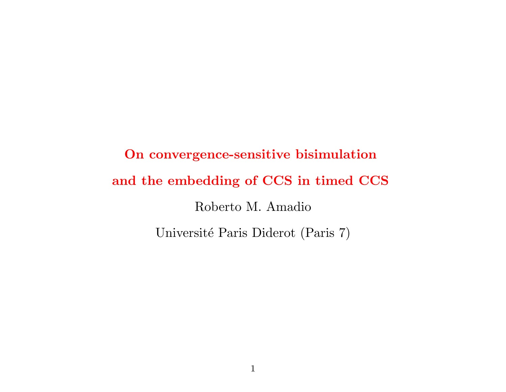# On convergence-sensitive bisimulation and the embedding of CCS in timed CCS Roberto M. Amadio Université Paris Diderot (Paris 7)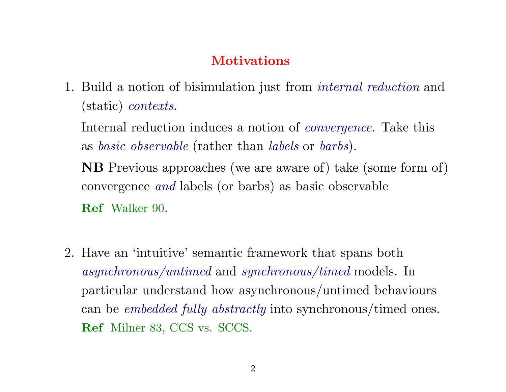# **Motivations**

1. Build a notion of bisimulation just from internal reduction and (static) contexts.

Internal reduction induces a notion of convergence. Take this as basic observable (rather than labels or barbs).

NB Previous approaches (we are aware of) take (some form of) convergence and labels (or barbs) as basic observable Ref Walker 90.

2. Have an 'intuitive' semantic framework that spans both asynchronous/untimed and synchronous/timed models. In particular understand how asynchronous/untimed behaviours can be *embedded fully abstractly* into synchronous/timed ones. Ref Milner 83, CCS vs. SCCS.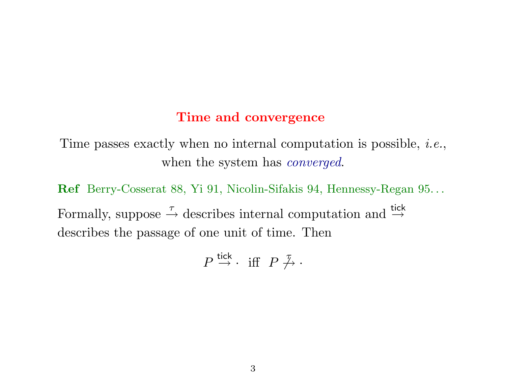### Time and convergence

Time passes exactly when no internal computation is possible, *i.e.*, when the system has *converged*.

Ref Berry-Cosserat 88, Yi 91, Nicolin-Sifakis 94, Hennessy-Regan 95. . . Formally, suppose  $\stackrel{\tau}{\rightarrow}$  describes internal computation and  $\stackrel{\text{tick}}{\rightarrow}$ describes the passage of one unit of time. Then

$$
P \stackrel{\mathsf{tick}}{\rightarrow} \cdot \ \ \text{iff} \ \ P \not \stackrel{\tau}{\rightarrow} \cdot
$$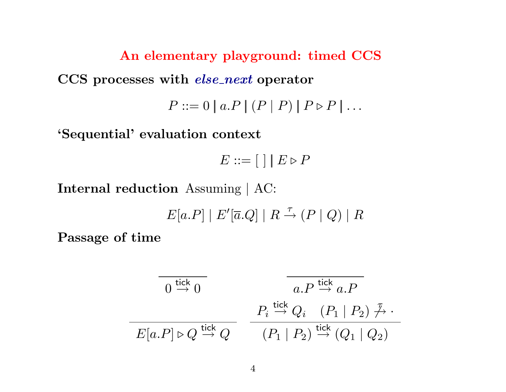An elementary playground: timed CCS CCS processes with *else\_next* operator  $P ::= 0 | a.P | (P | P) | P \triangleright P | ...$ 

'Sequential' evaluation context

 $E ::= \left[ \begin{array}{c|c} 1 & E \triangleright P \end{array} \right]$ 

Internal reduction Assuming | AC:

 $E[a.P] | E'[\overline{a}.Q] | R \stackrel{\tau}{\rightarrow} (P | Q) | R$ 

Passage of time

$$
\begin{array}{c}\n\hline\n0 \stackrel{\text{tick}}{\rightarrow} 0 \\
\hline\n\end{array}\n\qquad\n\begin{array}{c}\n\hline\na.P \stackrel{\text{tick}}{\rightarrow} a.P \\
\hline\nB[a.P] \triangleright Q \stackrel{\text{tick}}{\rightarrow} Q\n\end{array}\n\qquad\n\begin{array}{c}\nP_i \stackrel{\text{tick}}{\rightarrow} Q_i \quad (P_1 \mid P_2) \stackrel{\mathcal{T}}{\rightarrow} \cdot \\
(P_1 \mid P_2) \stackrel{\text{tick}}{\rightarrow} (Q_1 \mid Q_2)\n\end{array}
$$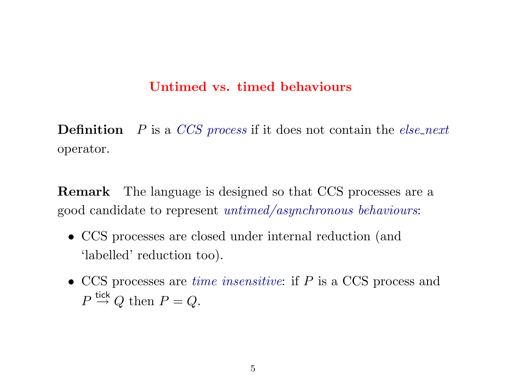## Untimed vs. timed behaviours

**Definition**  $P$  is a CCS process if it does not contain the else-next operator.

Remark The language is designed so that CCS processes are a good candidate to represent untimed/asynchronous behaviours:

- CCS processes are closed under internal reduction (and 'labelled' reduction too).
- CCS processes are *time insensitive*: if P is a CCS process and  $P \stackrel{\text{tick}}{\rightarrow} Q$  then  $P = Q$ .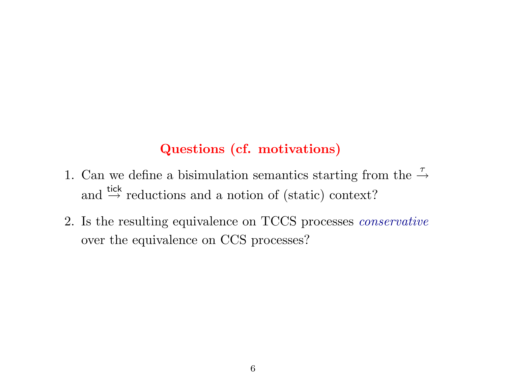# Questions (cf. motivations)

- 1. Can we define a bisimulation semantics starting from the  $\stackrel{\tau}{\rightarrow}$ and  $\xrightarrow{\text{tick}}$  reductions and a notion of (static) context?
- 2. Is the resulting equivalence on TCCS processes conservative over the equivalence on CCS processes?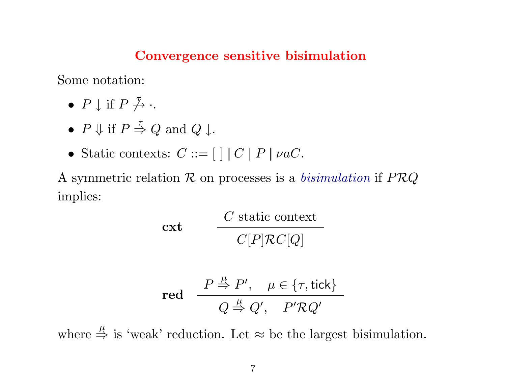### Convergence sensitive bisimulation

Some notation:

- $P \downarrow$  if  $P \not\stackrel{\tau}{\rightarrow} \cdot$ .
- $P \Downarrow$  if  $P \stackrel{\tau}{\Rightarrow} Q$  and  $Q \downarrow$ .
- Static contexts:  $C ::= [ \ | \ | \ C \ | \ P \ | \ \nu a C.$

A symmetric relation  $\mathcal R$  on processes is a *bisimulation* if  $PRQ$ implies:

$$
\textbf{cxt} \qquad \frac{C \text{ static context}}{C[P]\mathcal{R}C[Q]}
$$

$$
\text{red} \quad \frac{P \stackrel{\mu}{\Rightarrow} P', \quad \mu \in \{\tau, \text{tick}\}}{Q \stackrel{\mu}{\Rightarrow} Q', \quad P' \mathcal{R} Q'}
$$

where  $\stackrel{\mu}{\Rightarrow}$  is 'weak' reduction. Let  $\approx$  be the largest bisimulation.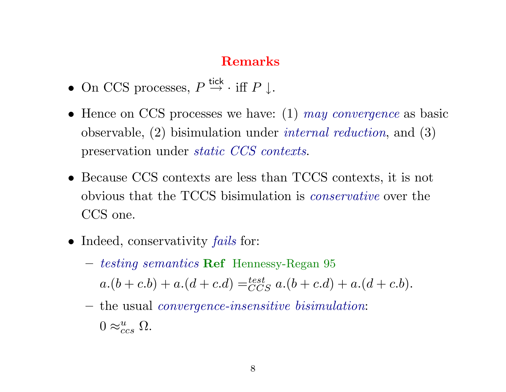# Remarks

- On CCS processes,  $P \stackrel{\text{tick}}{\rightarrow} \cdot \text{ iff } P \downarrow$ .
- Hence on CCS processes we have:  $(1)$  may convergence as basic observable, (2) bisimulation under internal reduction, and (3) preservation under static CCS contexts.
- Because CCS contexts are less than TCCS contexts, it is not obvious that the TCCS bisimulation is conservative over the CCS one.
- Indeed, conservativity *fails* for:
	- testing semantics Ref Hennessy-Regan 95  $a.(b + c.b) + a.(d + c.d) = \stackrel{test}{CCS} a.(b + c.d) + a.(d + c.b).$
	- the usual convergence-insensitive bisimulation:  $0 \approx_{ccs}^{u} \Omega$ .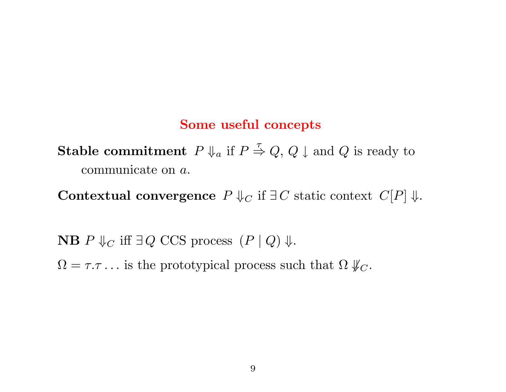#### Some useful concepts

**Stable commitment**  $P \Downarrow_a$  if  $P \stackrel{\tau}{\Rightarrow} Q$ ,  $Q \downarrow$  and  $Q$  is ready to communicate on a.

Contextual convergence  $P \Downarrow_C \text{if } \exists C \text{ static context } C[P] \Downarrow.$ 

**NB**  $P \Downarrow_C$  iff  $\exists Q$  CCS process  $(P | Q) \Downarrow$ .  $\Omega = \tau \tau \dots$  is the prototypical process such that  $\Omega \nparallel_C$ .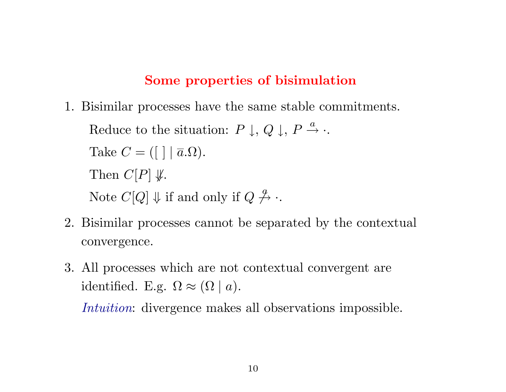## Some properties of bisimulation

1. Bisimilar processes have the same stable commitments.

Reduce to the situation:  $P \downarrow, Q \downarrow, P \stackrel{a}{\rightarrow}$ . Take  $C = (\lceil \cdot \rceil \mid \overline{a}.\Omega).$ Then  $C[P] \nsubseteq$ . Note  $C[Q] \Downarrow$  if and only if  $Q \nrightarrow{q}$ .

- 2. Bisimilar processes cannot be separated by the contextual convergence.
- 3. All processes which are not contextual convergent are identified. E.g.  $\Omega \approx (\Omega \mid a)$ .

Intuition: divergence makes all observations impossible.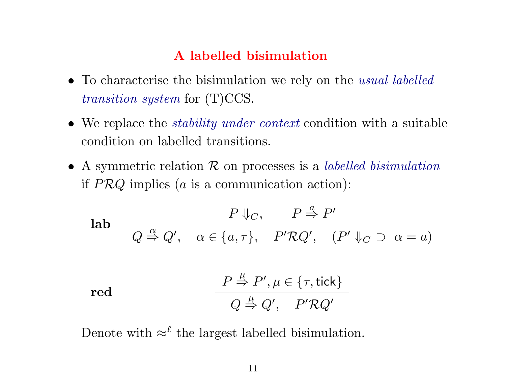# A labelled bisimulation

- To characterise the bisimulation we rely on the *usual labelled* transition system for (T)CCS.
- We replace the *stability under context* condition with a suitable condition on labelled transitions.
- A symmetric relation  $R$  on processes is a *labelled bisimulation* if  $PRQ$  implies ( $a$  is a communication action):

$$
\begin{array}{ll}\n\text{lab} & P \Downarrow_C, \qquad P \stackrel{a}{\Rightarrow} P' \\
\hline\nQ \stackrel{\alpha}{\Rightarrow} Q', \quad \alpha \in \{a, \tau\}, \quad P' \mathcal{R} Q', \quad (P' \Downarrow_C \supset \alpha = a)\n\end{array}
$$

$$
\text{red} \qquad \qquad \frac{P \stackrel{\mu}{\Rightarrow} P', \mu \in \{\tau, \text{tick}\}}{Q \stackrel{\mu}{\Rightarrow} Q', \quad P' \mathcal{R} Q'}
$$

Denote with  $\approx^{\ell}$  the largest labelled bisimulation.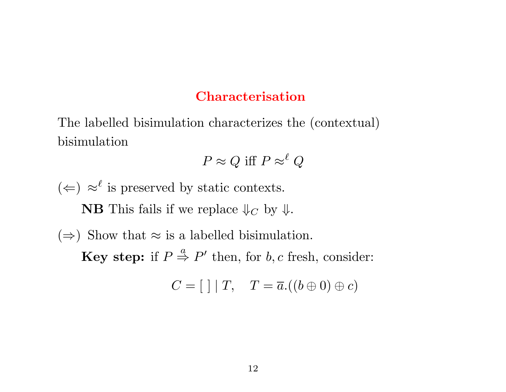#### Characterisation

The labelled bisimulation characterizes the (contextual) bisimulation

$$
P \approx Q \text{ iff } P \approx^{\ell} Q
$$

 $($  ←  $)$  ≈<sup> $\ell$ </sup> is preserved by static contexts. **NB** This fails if we replace  $\Downarrow_C$  by  $\Downarrow$ . ( $\Rightarrow$ ) Show that  $\approx$  is a labelled bisimulation. **Key step:** if  $P \stackrel{a}{\Rightarrow} P'$  then, for b, c fresh, consider:

$$
C = [\ ] \mid T, \quad T = \overline{a}.((b \oplus 0) \oplus c)
$$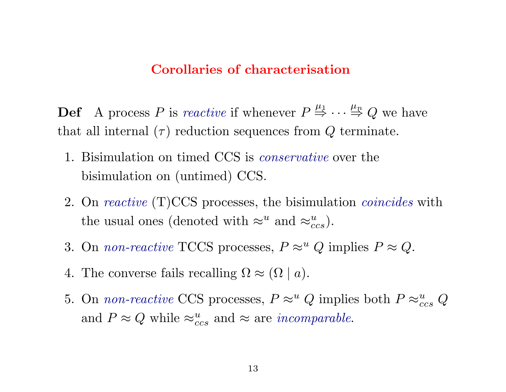#### Corollaries of characterisation

**Def** A process P is reactive if whenever  $P \stackrel{\mu_1}{\Rightarrow} \cdots \stackrel{\mu_n}{\Rightarrow} Q$  we have that all internal  $(\tau)$  reduction sequences from  $Q$  terminate.

- 1. Bisimulation on timed CCS is conservative over the bisimulation on (untimed) CCS.
- 2. On *reactive* (T)CCS processes, the bisimulation *coincides* with the usual ones (denoted with  $\approx^u$  and  $\approx^u_{ccs}$ ).
- 3. On *non-reactive* TCCS processes,  $P \approx^u Q$  implies  $P \approx Q$ .
- 4. The converse fails recalling  $\Omega \approx (\Omega \mid a)$ .
- 5. On *non-reactive* CCS processes,  $P \approx^u Q$  implies both  $P \approx_{ccs}^u Q$ and  $P \approx Q$  while  $\approx_{ccs}^{u}$  and  $\approx$  are *incomparable*.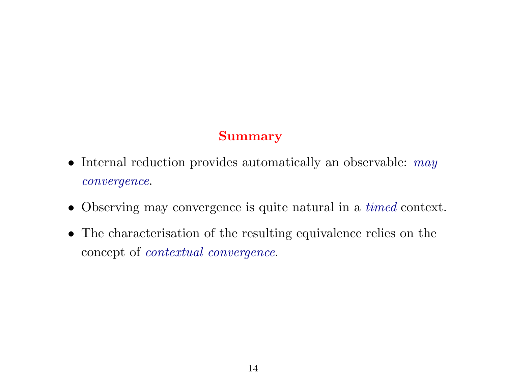# Summary

- Internal reduction provides automatically an observable: may convergence.
- Observing may convergence is quite natural in a timed context.
- The characterisation of the resulting equivalence relies on the concept of contextual convergence.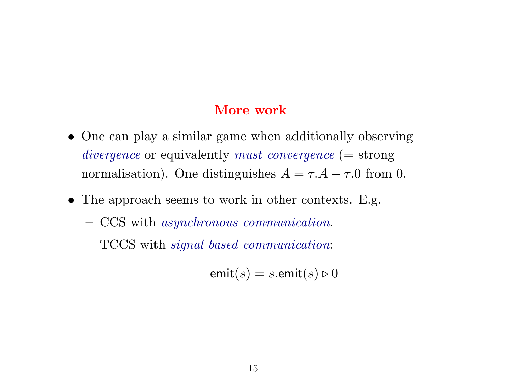## More work

- One can play a similar game when additionally observing divergence or equivalently must convergence (= strong normalisation). One distinguishes  $A = \tau.A + \tau.0$  from 0.
- The approach seems to work in other contexts. E.g.
	- CCS with asynchronous communication.
	- TCCS with signal based communication:

$$
\mathsf{emit}(s) = \overline{s}.\mathsf{emit}(s) \triangleright 0
$$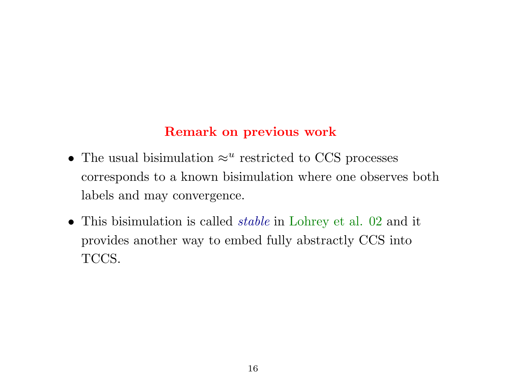# Remark on previous work

- The usual bisimulation  $\approx^u$  restricted to CCS processes corresponds to a known bisimulation where one observes both labels and may convergence.
- This bisimulation is called *stable* in Lohrey et al. 02 and it provides another way to embed fully abstractly CCS into TCCS.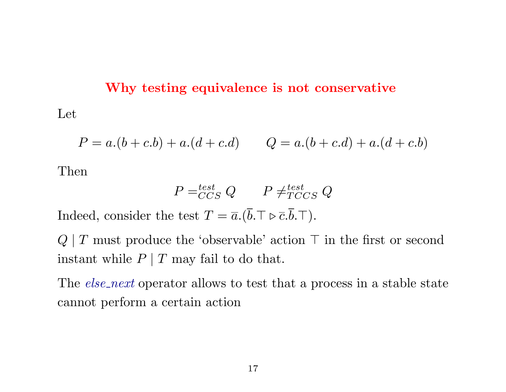#### Why testing equivalence is not conservative

Let

$$
P = a.(b + c.b) + a.(d + c.d) \qquad Q = a.(b + c.d) + a.(d + c.b)
$$

Then

$$
P = ^{test}_{CCS} Q \qquad P \neq ^{test}_{TCCS} Q
$$

Indeed, consider the test  $T = \overline{a}.(\overline{b}.\top \triangleright \overline{c}.\overline{b}.\top).$ 

 $Q \mid T$  must produce the 'observable' action  $\top$  in the first or second instant while  $P | T$  may fail to do that.

The *else-next* operator allows to test that a process in a stable state cannot perform a certain action